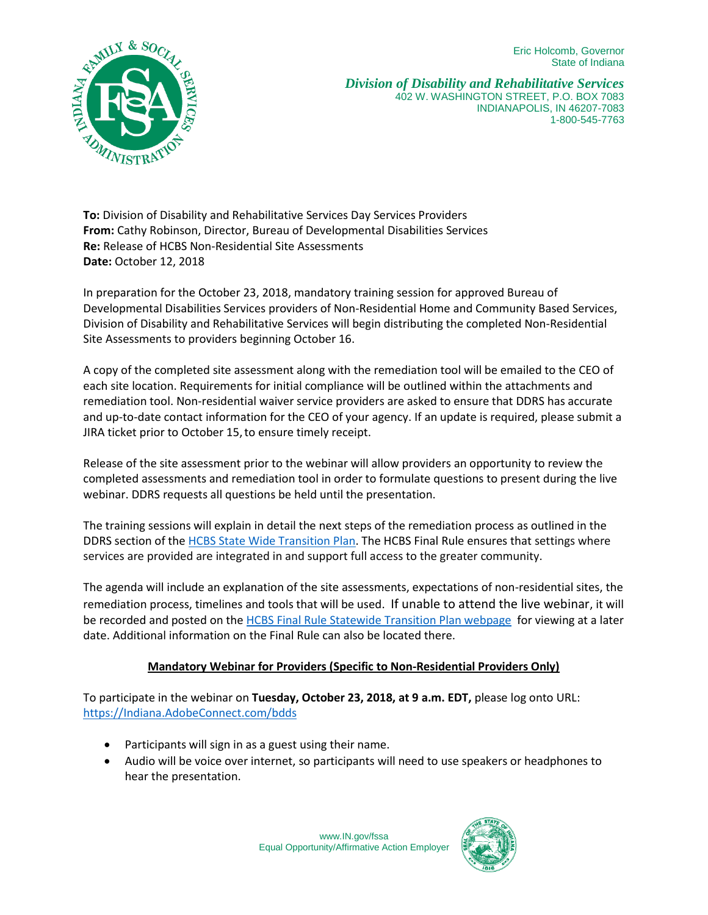Eric Holcomb, Governor State of Indiana



*Division of Disability and Rehabilitative Services* 402 W. WASHINGTON STREET, P.O. BOX 7083 INDIANAPOLIS, IN 46207-7083 1-800-545-7763

**To:** Division of Disability and Rehabilitative Services Day Services Providers **From:** Cathy Robinson, Director, Bureau of Developmental Disabilities Services **Re:** Release of HCBS Non-Residential Site Assessments **Date:** October 12, 2018

In preparation for the October 23, 2018, mandatory training session for approved Bureau of Developmental Disabilities Services providers of Non-Residential Home and Community Based Services, Division of Disability and Rehabilitative Services will begin distributing the completed Non-Residential Site Assessments to providers beginning October 16.

A copy of the completed site assessment along with the remediation tool will be emailed to the CEO of each site location. Requirements for initial compliance will be outlined within the attachments and remediation tool. Non-residential waiver service providers are asked to ensure that DDRS has accurate and up-to-date contact information for the CEO of your agency. If an update is required, please submit a JIRA ticket prior to October 15, to ensure timely receipt.

Release of the site assessment prior to the webinar will allow providers an opportunity to review the completed assessments and remediation tool in order to formulate questions to present during the live webinar. DDRS requests all questions be held until the presentation.

The training sessions will explain in detail the next steps of the remediation process as outlined in the DDRS section of the [HCBS State Wide Transition Plan.](https://www.in.gov/fssa/files/2018.08.22%20IN%20FSSA%20HCBS%20STP%20Version%208%20clean.pdf) The HCBS Final Rule ensures that settings where services are provided are integrated in and support full access to the greater community.

The agenda will include an explanation of the site assessments, expectations of non-residential sites, the remediation process, timelines and tools that will be used. If unable to attend the live webinar, it will be recorded and posted on the [HCBS Final Rule Statewide Transition Plan webpage](https://www.in.gov/fssa/ddrs/4917.htm) for viewing at a later date. Additional information on the Final Rule can also be located there.

## **Mandatory Webinar for Providers (Specific to Non-Residential Providers Only)**

To participate in the webinar on **Tuesday, October 23, 2018, at 9 a.m. EDT,** please log onto URL: [https://Indiana.AdobeConnect.com/bdds](https://indiana.adobeconnect.com/bdds)

- Participants will sign in as a guest using their name.
- Audio will be voice over internet, so participants will need to use speakers or headphones to hear the presentation.